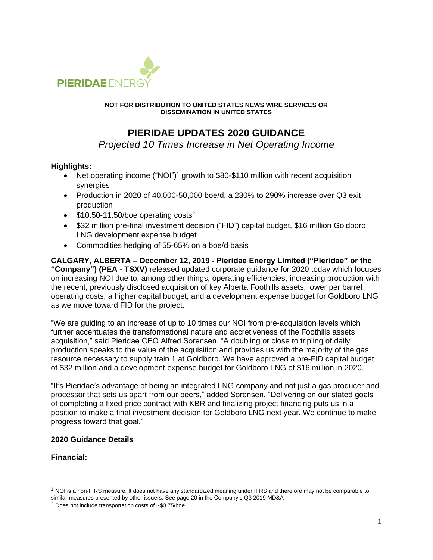

**NOT FOR DISTRIBUTION TO UNITED STATES NEWS WIRE SERVICES OR DISSEMINATION IN UNITED STATES**

# **PIERIDAE UPDATES 2020 GUIDANCE**

*Projected 10 Times Increase in Net Operating Income*

# **Highlights:**

- Net operating income ("NOI")<sup>1</sup> growth to \$80-\$110 million with recent acquisition synergies
- Production in 2020 of 40,000-50,000 boe/d, a 230% to 290% increase over Q3 exit production
- $$10.50-11.50/$ boe operating costs<sup>2</sup>
- \$32 million pre-final investment decision ("FID") capital budget, \$16 million Goldboro LNG development expense budget
- Commodities hedging of 55-65% on a boe/d basis

**CALGARY, ALBERTA – December 12, 2019 - Pieridae Energy Limited ("Pieridae" or the "Company") (PEA - TSXV)** released updated corporate guidance for 2020 today which focuses on increasing NOI due to, among other things, operating efficiencies; increasing production with the recent, previously disclosed acquisition of key Alberta Foothills assets; lower per barrel operating costs; a higher capital budget; and a development expense budget for Goldboro LNG as we move toward FID for the project.

"We are guiding to an increase of up to 10 times our NOI from pre-acquisition levels which further accentuates the transformational nature and accretiveness of the Foothills assets acquisition," said Pieridae CEO Alfred Sorensen. "A doubling or close to tripling of daily production speaks to the value of the acquisition and provides us with the majority of the gas resource necessary to supply train 1 at Goldboro. We have approved a pre-FID capital budget of \$32 million and a development expense budget for Goldboro LNG of \$16 million in 2020.

"It's Pieridae's advantage of being an integrated LNG company and not just a gas producer and processor that sets us apart from our peers," added Sorensen. "Delivering on our stated goals of completing a fixed price contract with KBR and finalizing project financing puts us in a position to make a final investment decision for Goldboro LNG next year. We continue to make progress toward that goal."

# **2020 Guidance Details**

# **Financial:**

 $1$  NOI is a non-IFRS measure. It does not have any standardized meaning under IFRS and therefore may not be comparable to similar measures presented by other issuers. See page 20 in the Company's Q3 2019 MD&A

<sup>2</sup> Does not include transportation costs of ~\$0.75/boe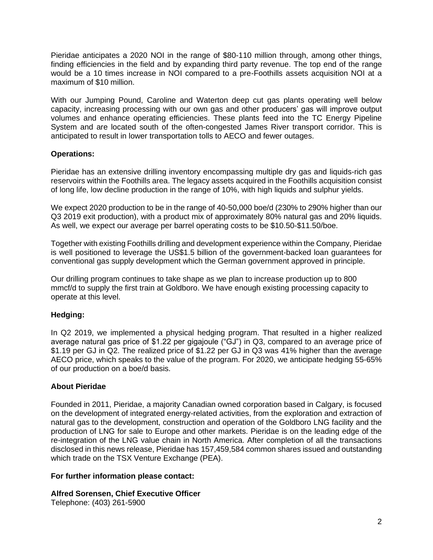Pieridae anticipates a 2020 NOI in the range of \$80-110 million through, among other things, finding efficiencies in the field and by expanding third party revenue. The top end of the range would be a 10 times increase in NOI compared to a pre-Foothills assets acquisition NOI at a maximum of \$10 million.

With our Jumping Pound, Caroline and Waterton deep cut gas plants operating well below capacity, increasing processing with our own gas and other producers' gas will improve output volumes and enhance operating efficiencies. These plants feed into the TC Energy Pipeline System and are located south of the often-congested James River transport corridor. This is anticipated to result in lower transportation tolls to AECO and fewer outages.

# **Operations:**

Pieridae has an extensive drilling inventory encompassing multiple dry gas and liquids-rich gas reservoirs within the Foothills area. The legacy assets acquired in the Foothills acquisition consist of long life, low decline production in the range of 10%, with high liquids and sulphur yields.

We expect 2020 production to be in the range of 40-50,000 boe/d (230% to 290% higher than our Q3 2019 exit production), with a product mix of approximately 80% natural gas and 20% liquids. As well, we expect our average per barrel operating costs to be \$10.50-\$11.50/boe.

Together with existing Foothills drilling and development experience within the Company, Pieridae is well positioned to leverage the US\$1.5 billion of the government-backed loan guarantees for conventional gas supply development which the German government approved in principle.

Our drilling program continues to take shape as we plan to increase production up to 800 mmcf/d to supply the first train at Goldboro. We have enough existing processing capacity to operate at this level.

# **Hedging:**

In Q2 2019, we implemented a physical hedging program. That resulted in a higher realized average natural gas price of \$1.22 per gigajoule ("GJ") in Q3, compared to an average price of \$1.19 per GJ in Q2. The realized price of \$1.22 per GJ in Q3 was 41% higher than the average AECO price, which speaks to the value of the program. For 2020, we anticipate hedging 55-65% of our production on a boe/d basis.

# **About Pieridae**

Founded in 2011, Pieridae, a majority Canadian owned corporation based in Calgary, is focused on the development of integrated energy-related activities, from the exploration and extraction of natural gas to the development, construction and operation of the Goldboro LNG facility and the production of LNG for sale to Europe and other markets. Pieridae is on the leading edge of the re-integration of the LNG value chain in North America. After completion of all the transactions disclosed in this news release, Pieridae has 157,459,584 common shares issued and outstanding which trade on the TSX Venture Exchange (PEA).

# **For further information please contact:**

**Alfred Sorensen, Chief Executive Officer** 

Telephone: (403) 261-5900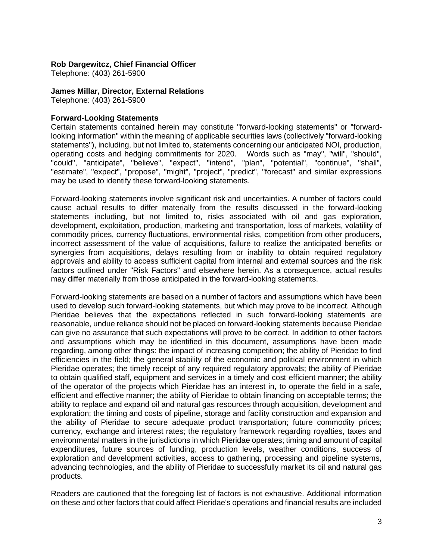#### **Rob Dargewitcz, Chief Financial Officer**

Telephone: (403) 261-5900

#### **James Millar, Director, External Relations**

Telephone: (403) 261-5900

#### **Forward-Looking Statements**

Certain statements contained herein may constitute "forward-looking statements" or "forwardlooking information" within the meaning of applicable securities laws (collectively "forward-looking statements"), including, but not limited to, statements concerning our anticipated NOI, production, operating costs and hedging commitments for 2020. Words such as "may", "will", "should", "could", "anticipate", "believe", "expect", "intend", "plan", "potential", "continue", "shall", "estimate", "expect", "propose", "might", "project", "predict", "forecast" and similar expressions may be used to identify these forward-looking statements.

Forward-looking statements involve significant risk and uncertainties. A number of factors could cause actual results to differ materially from the results discussed in the forward-looking statements including, but not limited to, risks associated with oil and gas exploration, development, exploitation, production, marketing and transportation, loss of markets, volatility of commodity prices, currency fluctuations, environmental risks, competition from other producers, incorrect assessment of the value of acquisitions, failure to realize the anticipated benefits or synergies from acquisitions, delays resulting from or inability to obtain required regulatory approvals and ability to access sufficient capital from internal and external sources and the risk factors outlined under "Risk Factors" and elsewhere herein. As a consequence, actual results may differ materially from those anticipated in the forward-looking statements.

Forward-looking statements are based on a number of factors and assumptions which have been used to develop such forward-looking statements, but which may prove to be incorrect. Although Pieridae believes that the expectations reflected in such forward-looking statements are reasonable, undue reliance should not be placed on forward-looking statements because Pieridae can give no assurance that such expectations will prove to be correct. In addition to other factors and assumptions which may be identified in this document, assumptions have been made regarding, among other things: the impact of increasing competition; the ability of Pieridae to find efficiencies in the field; the general stability of the economic and political environment in which Pieridae operates; the timely receipt of any required regulatory approvals; the ability of Pieridae to obtain qualified staff, equipment and services in a timely and cost efficient manner; the ability of the operator of the projects which Pieridae has an interest in, to operate the field in a safe, efficient and effective manner; the ability of Pieridae to obtain financing on acceptable terms; the ability to replace and expand oil and natural gas resources through acquisition, development and exploration; the timing and costs of pipeline, storage and facility construction and expansion and the ability of Pieridae to secure adequate product transportation; future commodity prices; currency, exchange and interest rates; the regulatory framework regarding royalties, taxes and environmental matters in the jurisdictions in which Pieridae operates; timing and amount of capital expenditures, future sources of funding, production levels, weather conditions, success of exploration and development activities, access to gathering, processing and pipeline systems, advancing technologies, and the ability of Pieridae to successfully market its oil and natural gas products.

Readers are cautioned that the foregoing list of factors is not exhaustive. Additional information on these and other factors that could affect Pieridae's operations and financial results are included